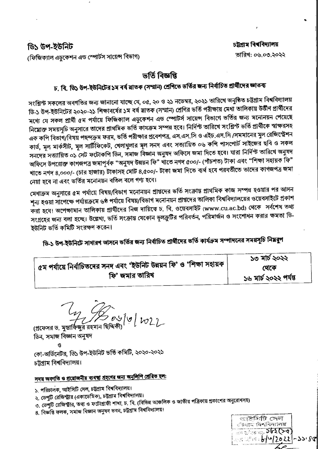### ডি১ উপ-ইউনিট

(ফিজিক্যাল এডুকেশন এন্ড স্পোর্টস সায়েন্স বিভাগ)

#### চট্টগ্ৰাম বিশ্ববিদ্যালয় তারিখ: ০৬.০৩.২০২২

## ভৰ্তি বিজ্ঞপ্তি

# চ, বি, ডি১ উপ-ইউনিটের ১ম বর্ষ মাতক (সম্মান) শ্রেণিতে ভর্তির জন্য নির্বাচিত প্রার্থীদের জ্ঞাতব্য

সংশ্লিন্ট সকলের অবগতির জন্য জানানো যাচ্ছে যে, ০৫, ২০ ও ২১ নভেম্বর, ২০২১ তারিখে অনুষ্ঠিত চট্টগ্রাম বিশ্ববিদ্যালয় ডি-১ উপ-ইউনিটের ২০২০-২১ শিক্ষাবর্ষের ১ম বর্ষ স্নাতক (সম্মান) শ্রেণির ভর্তি পরীক্ষায় মেধা তালিকায় উর্তীণ প্রার্থীদের মধ্যে যে সকল প্রার্থী ৫ম পর্যায়ে ফিজিক্যাল এডুকেশন এন্ড স্পোটর্স সায়েন্স বিভাগে ভর্তির জন্য মনোনয়ন পেয়েছে নিয়োক্ত সময়সূচি অনুসারে তাদের প্রাথমিক ভর্তি কাযক্রম সম্পন্ন হবে। নির্দিন্ট তারিখে সংশ্লিন্ট ভর্তি প্রার্থীকে স্বাক্ষরসহ এক কপি বিভাগ/বিষয় পছন্দক্রম ফরম, ভর্তি পরীক্ষার প্রবেশপত্র, এস.এস.সি ও এইচ.এস.সি /সমমানের মুল রেজিস্ট্রেশন কার্ড, মূল মার্কসীট, মূল সার্টিফিকেট, খেলাধুলার মূল সনদ এবং সত্যায়িত ০৬ কপি পাসপোর্ট সাইজের ছবি ও সকল সনদের সত্যায়িত ০১ সেট ফটোকপি ডিন, সমাজ বিজ্ঞান অনুষদ অফিসে জমা দিতে হবে। যারা নির্দিন্ট তারিখে অনুষদ অফিসে উপরোক্ত কাগজপত্র জমাপূর্বক "অনুষদ উন্নয়ন ফি" খাতে নগদ ৫০০/- (পাঁচশত) টাকা এবং "শিক্ষা সহায়ক ফি" খাতে নগদ ৪,০০০/- (চার হাজার) টাকাসহ মোট ৪,৫০০/- টাকা জমা দিতে ব্যর্থ হবে পরবর্তীতে তাদের কাগজপত্র জমা নেয়া হবে না এবং ভর্তির মনোনয়ন বতিল বলে গণ্য হবে।

মেধাক্রম অনুসারে ৫ম পর্যায়ে বিষয়/বিভাগ মনোনয়ন প্রাপ্তদের ভর্তি সংক্রান্ত প্রাথমিক কাজ সম্পন্ন হওয়ার পর আসন শূন্য হওয়া সাঁপেক্ষে পর্যায়ক্রমে ৬ষ্ঠ পর্যায়ে বিষয়/বিভাগ মনোনয়ন প্রাপ্তদের তালিকা বিশ্ববিদ্যালয়ের ওয়েবসাইটে প্রকাশ করা হবে। অপেক্ষামান তালিকায় প্রার্থীদের নিজ দায়িত্বে চ. বি. ওয়েবসাইট (www.cu.ac.bd) থেকে সর্বশেষ তথ্য সংগ্রহের জন্য বলা হচ্ছে। উল্লেখ্য, ভর্তি সংক্রান্ত যেকোন ভূলক্রুটির পরিবর্তন, পরিমার্জন ও সংশোধন করার ক্ষমতা ডি-ইউনিট ভর্তি কমিটি সংরক্ষণ করেন।

ডি-১ উপ-ইউনিটে সাধারণ আসনে ভর্তির জন্য নির্বাচিত প্রার্থীদের ভর্তি কার্যক্রম সম্পাদনের সময়সচি নিম্নরূপ

|                                                                         | ১৩ মার্চ ২০২২         |  |
|-------------------------------------------------------------------------|-----------------------|--|
| । ৫ম পর্যায়ে নির্বাচিতদের সনদ এবং 'ইউনিট উন্নয়ন ফি' ও 'শিক্ষা সহায়ক। | থেকে                  |  |
| ফি' জমার তারিখ                                                          | ১৬ মার্চ ২০২২ পর্যন্ত |  |

 $0.95001022$ 

(প্রফেসর ড. মুস্তার্ফিজুর রহমান ছি ডিন, সমাজ বিজ্ঞান অনুষদ

কো-অর্ডিনেটর, ডি১ উপ-ইউনিট ভর্তি কমিটি, ২০২০-২০২১ চট্টগ্ৰাম বিশ্ববিদ্যালয়।

# সদয় অবগতি ও প্রয়োজনীয় ব্যবস্থা গ্রহণের জন্য অনুলিপি প্রেরিত হল:

১. পরিচালক, আইসিটি সেল, চট্টগ্রাম বিশ্ববিদ্যালয়।

- ২, ডেপুটি রেজিস্ট্রার (একাডেমিক), চট্টগ্রাম বিশ্ববিদ্যালয়।
- ৩. ডেপুটি রেজিস্ট্রার, তথ্য ও ফটোগ্রাফী শাখা, চ. বি. (বিভিন্ন আঞ্চলিক ও জাতীয় পত্রিকায় প্রকাশের অনুরোধসহ)
- 8. বিজ্ঞপ্তি ফলক, সমাজ বিজ্ঞান অনুষদ ভবন, চট্টগ্রাম বিশ্ববিদ্যালয়।

ভাষ্টমিটি সেল ঁঘোত বিশ্ববিদ্যালয়  $\frac{1}{100}$   $\frac{1}{100}$   $\frac{1}{100}$   $\frac{1}{100}$   $\frac{1}{100}$   $\frac{1}{100}$   $\frac{1}{100}$   $\frac{1}{100}$